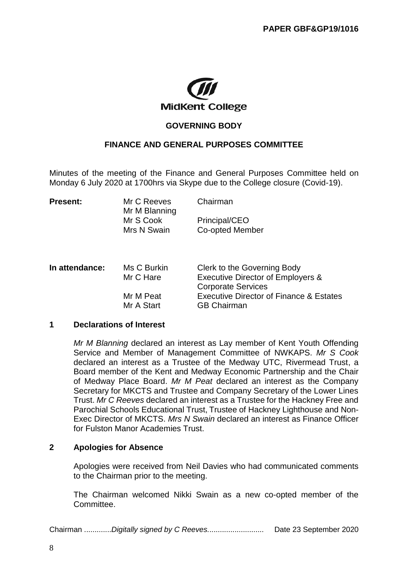

# **GOVERNING BODY**

# **FINANCE AND GENERAL PURPOSES COMMITTEE**

Minutes of the meeting of the Finance and General Purposes Committee held on Monday 6 July 2020 at 1700hrs via Skype due to the College closure (Covid-19).

| <b>Present:</b> | Mr C Reeves<br>Mr M Blanning | Chairman                         |  |
|-----------------|------------------------------|----------------------------------|--|
|                 | Mr S Cook<br>Mrs N Swain     | Principal/CEO<br>Co-opted Member |  |
|                 |                              |                                  |  |

| Clerk to the Governing Body                        |
|----------------------------------------------------|
| Executive Director of Employers &                  |
| <b>Corporate Services</b>                          |
| <b>Executive Director of Finance &amp; Estates</b> |
| <b>GB Chairman</b>                                 |
|                                                    |

#### **1 Declarations of Interest**

*Mr M Blanning* declared an interest as Lay member of Kent Youth Offending Service and Member of Management Committee of NWKAPS. *Mr S Cook* declared an interest as a Trustee of the Medway UTC, Rivermead Trust, a Board member of the Kent and Medway Economic Partnership and the Chair of Medway Place Board. *Mr M Peat* declared an interest as the Company Secretary for MKCTS and Trustee and Company Secretary of the Lower Lines Trust. *Mr C Reeves* declared an interest as a Trustee for the Hackney Free and Parochial Schools Educational Trust, Trustee of Hackney Lighthouse and Non-Exec Director of MKCTS. *Mrs N Swain* declared an interest as Finance Officer for Fulston Manor Academies Trust.

#### **2 Apologies for Absence**

Apologies were received from Neil Davies who had communicated comments to the Chairman prior to the meeting.

The Chairman welcomed Nikki Swain as a new co-opted member of the Committee.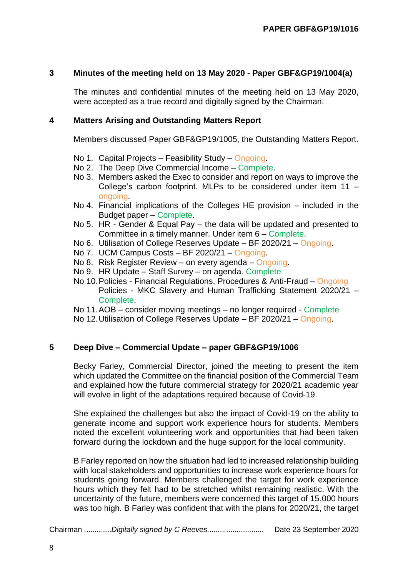### **3 Minutes of the meeting held on 13 May 2020 - Paper GBF&GP19/1004(a)**

The minutes and confidential minutes of the meeting held on 13 May 2020, were accepted as a true record and digitally signed by the Chairman.

### **4 Matters Arising and Outstanding Matters Report**

Members discussed Paper GBF&GP19/1005, the Outstanding Matters Report.

- No 1. Capital Projects Feasibility Study Ongoing.
- No 2. The Deep Dive Commercial Income Complete.
- No 3. Members asked the Exec to consider and report on ways to improve the College's carbon footprint. MLPs to be considered under item 11 – ongoing.
- No 4. Financial implications of the Colleges HE provision included in the Budget paper – Complete.
- No 5. HR Gender & Equal Pay the data will be updated and presented to Committee in a timely manner. Under item 6 – Complete.
- No 6. Utilisation of College Reserves Update BF 2020/21 Ongoing.
- No 7. UCM Campus Costs BF 2020/21 Ongoing.
- No 8. Risk Register Review on every agenda Ongoing.
- No 9. HR Update Staff Survey on agenda. Complete
- No 10.Policies Financial Regulations, Procedures & Anti-Fraud Ongoing Policies - MKC Slavery and Human Trafficking Statement 2020/21 – Complete.
- No 11.AOB consider moving meetings no longer required Complete
- No 12.Utilisation of College Reserves Update BF 2020/21 Ongoing.

# **5 Deep Dive – Commercial Update – paper GBF&GP19/1006**

Becky Farley, Commercial Director, joined the meeting to present the item which updated the Committee on the financial position of the Commercial Team and explained how the future commercial strategy for 2020/21 academic year will evolve in light of the adaptations required because of Covid-19.

She explained the challenges but also the impact of Covid-19 on the ability to generate income and support work experience hours for students. Members noted the excellent volunteering work and opportunities that had been taken forward during the lockdown and the huge support for the local community.

B Farley reported on how the situation had led to increased relationship building with local stakeholders and opportunities to increase work experience hours for students going forward. Members challenged the target for work experience hours which they felt had to be stretched whilst remaining realistic. With the uncertainty of the future, members were concerned this target of 15,000 hours was too high. B Farley was confident that with the plans for 2020/21, the target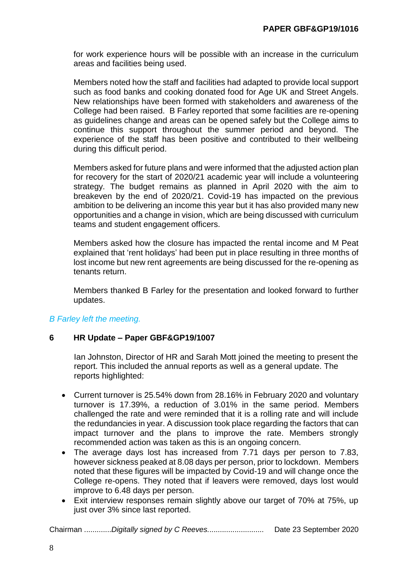for work experience hours will be possible with an increase in the curriculum areas and facilities being used.

Members noted how the staff and facilities had adapted to provide local support such as food banks and cooking donated food for Age UK and Street Angels. New relationships have been formed with stakeholders and awareness of the College had been raised. B Farley reported that some facilities are re-opening as guidelines change and areas can be opened safely but the College aims to continue this support throughout the summer period and beyond. The experience of the staff has been positive and contributed to their wellbeing during this difficult period.

Members asked for future plans and were informed that the adjusted action plan for recovery for the start of 2020/21 academic year will include a volunteering strategy. The budget remains as planned in April 2020 with the aim to breakeven by the end of 2020/21. Covid-19 has impacted on the previous ambition to be delivering an income this year but it has also provided many new opportunities and a change in vision, which are being discussed with curriculum teams and student engagement officers.

Members asked how the closure has impacted the rental income and M Peat explained that 'rent holidays' had been put in place resulting in three months of lost income but new rent agreements are being discussed for the re-opening as tenants return.

Members thanked B Farley for the presentation and looked forward to further updates.

# *B Farley left the meeting.*

# **6 HR Update – Paper GBF&GP19/1007**

Ian Johnston, Director of HR and Sarah Mott joined the meeting to present the report. This included the annual reports as well as a general update. The reports highlighted:

- Current turnover is 25.54% down from 28.16% in February 2020 and voluntary turnover is 17.39%, a reduction of 3.01% in the same period. Members challenged the rate and were reminded that it is a rolling rate and will include the redundancies in year. A discussion took place regarding the factors that can impact turnover and the plans to improve the rate. Members strongly recommended action was taken as this is an ongoing concern.
- The average days lost has increased from 7.71 days per person to 7.83, however sickness peaked at 8.08 days per person, prior to lockdown. Members noted that these figures will be impacted by Covid-19 and will change once the College re-opens. They noted that if leavers were removed, days lost would improve to 6.48 days per person.
- Exit interview responses remain slightly above our target of 70% at 75%, up just over 3% since last reported.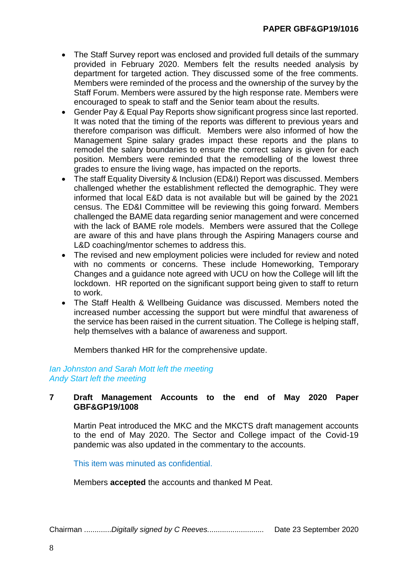- The Staff Survey report was enclosed and provided full details of the summary provided in February 2020. Members felt the results needed analysis by department for targeted action. They discussed some of the free comments. Members were reminded of the process and the ownership of the survey by the Staff Forum. Members were assured by the high response rate. Members were encouraged to speak to staff and the Senior team about the results.
- Gender Pay & Equal Pay Reports show significant progress since last reported. It was noted that the timing of the reports was different to previous years and therefore comparison was difficult. Members were also informed of how the Management Spine salary grades impact these reports and the plans to remodel the salary boundaries to ensure the correct salary is given for each position. Members were reminded that the remodelling of the lowest three grades to ensure the living wage, has impacted on the reports.
- The staff Equality Diversity & Inclusion (ED&I) Report was discussed. Members challenged whether the establishment reflected the demographic. They were informed that local E&D data is not available but will be gained by the 2021 census. The ED&I Committee will be reviewing this going forward. Members challenged the BAME data regarding senior management and were concerned with the lack of BAME role models. Members were assured that the College are aware of this and have plans through the Aspiring Managers course and L&D coaching/mentor schemes to address this.
- The revised and new employment policies were included for review and noted with no comments or concerns. These include Homeworking, Temporary Changes and a guidance note agreed with UCU on how the College will lift the lockdown. HR reported on the significant support being given to staff to return to work.
- The Staff Health & Wellbeing Guidance was discussed. Members noted the increased number accessing the support but were mindful that awareness of the service has been raised in the current situation. The College is helping staff, help themselves with a balance of awareness and support.

Members thanked HR for the comprehensive update.

### *Ian Johnston and Sarah Mott left the meeting Andy Start left the meeting*

### **7 Draft Management Accounts to the end of May 2020 Paper GBF&GP19/1008**

Martin Peat introduced the MKC and the MKCTS draft management accounts to the end of May 2020. The Sector and College impact of the Covid-19 pandemic was also updated in the commentary to the accounts.

This item was minuted as confidential.

Members **accepted** the accounts and thanked M Peat.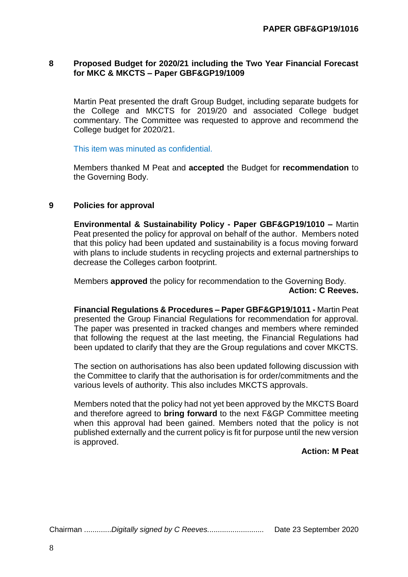# **8 Proposed Budget for 2020/21 including the Two Year Financial Forecast for MKC & MKCTS – Paper GBF&GP19/1009**

Martin Peat presented the draft Group Budget, including separate budgets for the College and MKCTS for 2019/20 and associated College budget commentary. The Committee was requested to approve and recommend the College budget for 2020/21.

This item was minuted as confidential.

Members thanked M Peat and **accepted** the Budget for **recommendation** to the Governing Body.

# **9 Policies for approval**

**Environmental & Sustainability Policy - Paper GBF&GP19/1010 –** Martin Peat presented the policy for approval on behalf of the author. Members noted that this policy had been updated and sustainability is a focus moving forward with plans to include students in recycling projects and external partnerships to decrease the Colleges carbon footprint.

Members **approved** the policy for recommendation to the Governing Body. **Action: C Reeves.**

**Financial Regulations & Procedures – Paper GBF&GP19/1011 -** Martin Peat presented the Group Financial Regulations for recommendation for approval. The paper was presented in tracked changes and members where reminded that following the request at the last meeting, the Financial Regulations had been updated to clarify that they are the Group regulations and cover MKCTS.

The section on authorisations has also been updated following discussion with the Committee to clarify that the authorisation is for order/commitments and the various levels of authority. This also includes MKCTS approvals.

Members noted that the policy had not yet been approved by the MKCTS Board and therefore agreed to **bring forward** to the next F&GP Committee meeting when this approval had been gained. Members noted that the policy is not published externally and the current policy is fit for purpose until the new version is approved.

# **Action: M Peat**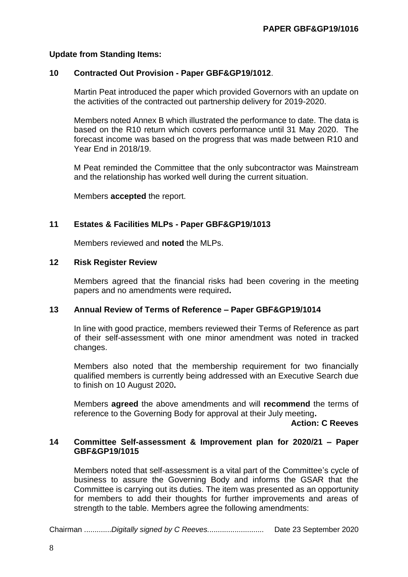### **Update from Standing Items:**

#### **10 Contracted Out Provision - Paper GBF&GP19/1012**.

Martin Peat introduced the paper which provided Governors with an update on the activities of the contracted out partnership delivery for 2019-2020.

Members noted Annex B which illustrated the performance to date. The data is based on the R10 return which covers performance until 31 May 2020. The forecast income was based on the progress that was made between R10 and Year End in 2018/19.

M Peat reminded the Committee that the only subcontractor was Mainstream and the relationship has worked well during the current situation.

Members **accepted** the report.

### **11 Estates & Facilities MLPs - Paper GBF&GP19/1013**

Members reviewed and **noted** the MLPs.

#### **12 Risk Register Review**

Members agreed that the financial risks had been covering in the meeting papers and no amendments were required**.**

#### **13 Annual Review of Terms of Reference – Paper GBF&GP19/1014**

In line with good practice, members reviewed their Terms of Reference as part of their self-assessment with one minor amendment was noted in tracked changes.

Members also noted that the membership requirement for two financially qualified members is currently being addressed with an Executive Search due to finish on 10 August 2020**.**

Members **agreed** the above amendments and will **recommend** the terms of reference to the Governing Body for approval at their July meeting**.**

#### **Action: C Reeves**

#### **14 Committee Self-assessment & Improvement plan for 2020/21 – Paper GBF&GP19/1015**

Members noted that self-assessment is a vital part of the Committee's cycle of business to assure the Governing Body and informs the GSAR that the Committee is carrying out its duties. The item was presented as an opportunity for members to add their thoughts for further improvements and areas of strength to the table. Members agree the following amendments: